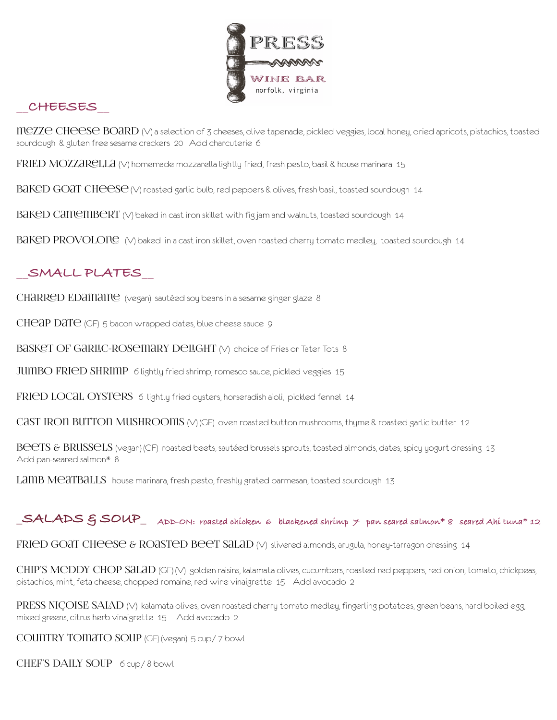

### **\_\_CHEESES\_\_**

mezze Cheese Board (V) a selection of 3 cheeses, olive tapenade, pickled veggies, local honey, dried apricots, pistachios, toasted sourdough & gluten free sesame crackers 20 Add charcuterie 6

 $FRIED MOZZARELLA (V)$  homemade mozzarella lightly fried, fresh pesto, basil & house marinara 15

BAKED GOAT CHEESE (V) roasted garlic bulb, red peppers & olives, fresh basil, toasted sourdough 14

 $B$ aKeD Camembert ( $\vee$ ) baked in cast iron skillet with fig jam and walnuts, toasted sourdough 14

BAKED PROVOLOPE (V) baked in a cast iron skillet, oven roasted cherry tomato medley, toasted sourdough 14

## **\_\_SMALL PLATES\_\_**

CHARRED EDAMAME (vegan) sautéed soy beans in a sesame ginger glaze 8

CHeap Date (GF) 5 bacon wrapped dates, blue cheese sauce 9

 $BASNET$  OF GARLC-ROS $emARY$  DeLGHT  $\wedge\wedge$  choice of Fries or Tater Tots 8

JUMBO FRIED SHRIMP 6 lightly fried shrimp, romesco sauce, pickled veggies 15

FRIED LOCAL OYSTERS 6 lightly fried oysters, horseradish aioli, pickled fennel 14

CAST IRON BUTTON MUSHROOMS ( $\vee$ ) (GF) oven roasted button mushrooms, thyme & roasted garlic butter 12

Beets & BRUSSeLS (vegan) (GF) roasted beets, sautéed brussels sprouts, toasted almonds, dates, spicy yogurt dressing 13 Add pan-seared salmon\* 8

Lamb MeatballS house marinara, fresh pesto, freshly grated parmesan, toasted sourdough 13

#### **\_SALADS & SOUP\_ ADD-ON: roasted chicken 6 blackened shrimp 7 pan seared salmon\* 8 seared Ahi tuna\* 12**

FRIED GOAT CHEESE & ROASTED BEET SALAD (V) slivered almonds, arugula, honey-tarragon dressing 14

 $CHIP'S MEDDY CHOP SALAD (GF) (V) golden raisins, kalamata olives, cucumbers, roasted red peppers, red onion, tomato, chickpeas,$ pistachios, mint, feta cheese, chopped romaine, red wine vinaigrette 15 Add avocado 2

PRESS NICOISE SAIAD (V) kalamata olives, oven roasted cherry tomato medley, fingerling potatoes, green beans, hard boiled egg, mixed greens, citrus herb vinaigrette 15 Add avocado 2

country tomato soup (GF) (vegan) 5 cup/ 7 bowl

CHEF'S DAILY SOUP 6 cup/8 bowl